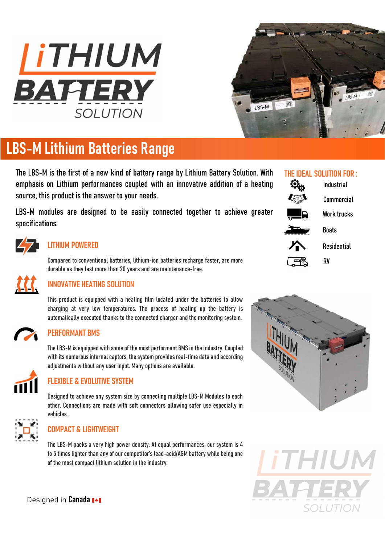



# LBS-M Lithium Batteries Range

The LBS-M is the first of a new kind of battery range by Lithium Battery Solution. With emphasis on Lithium performances coupled with an innovative addition of a heating source, this product is the answer to your needs.

LBS-M modules are designed to be easily connected together to achieve greater specifications.



#### LITHIUM POWERED

Compared to conventional batteries, lithium-ion batteries recharge faster, are more durable as they last more than 20 years and are maintenance-free.



## INNOVATIVE HEATING SOLUTION

This product is equipped with a heating film located under the batteries to allow charging at very low temperatures. The process of heating up the battery is automatically executed thanks to the connected charger and the monitoring system.



### PERFORMANT BMS

The LBS-M is equipped with some of the most performant BMS in the industry. Coupled with its numerous internal captors, the system provides real-time data and according adjustments without any user input. Many options are available.



## FLEXIBLE & EVOLUTIVE SYSTEM

Designed to achieve any system size by connecting multiple LBS-M Modules to each other. Connections are made with soft connectors allowing safer use especially in vehicles.



## COMPACT & LIGHTWEIGHT

The LBS-M packs a very high power density. At equal performances, our system is 4 to 5 times lighter than any of our competitor's lead-acid/AGM battery while being one of the most compact lithium solution in the industry.

Designed in Canada<sup>1+1</sup>

## THE IDEAL SOLUTION FOR :

|    | Industrial         |
|----|--------------------|
|    | <b>Commercial</b>  |
| ัก | <b>Work trucks</b> |
| ╥╖ | <b>Boats</b>       |
|    | <b>Residential</b> |
|    | RV                 |
|    |                    |